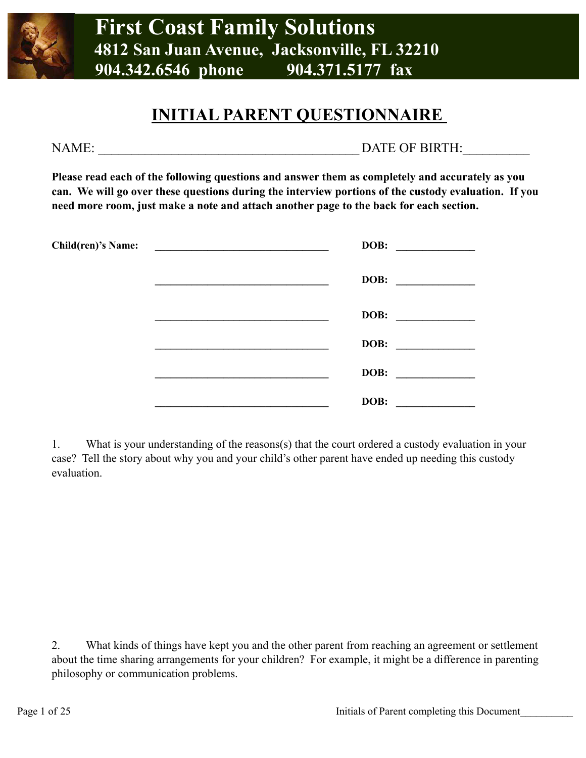

## **INITIAL PARENT QUESTIONNAIRE**

NAME:  $\Box$  DATE OF BIRTH:

**Please read each of the following questions and answer them as completely and accurately as you can. We will go over these questions during the interview portions of the custody evaluation. If you need more room, just make a note and attach another page to the back for each section.**

| <b>Child(ren)'s Name:</b> | <u> 2000 - 2000 - 2000 - 2000 - 2000 - 2000 - 2000 - 2000 - 2000 - 2000 - 2000 - 2000 - 2000 - 2000 - 2000 - 200</u> | DOB:                                                                                                                          |  |
|---------------------------|----------------------------------------------------------------------------------------------------------------------|-------------------------------------------------------------------------------------------------------------------------------|--|
|                           |                                                                                                                      | DOB:<br><u> 1989 - Johann Harry Harry Harry Harry Harry Harry Harry Harry Harry Harry Harry Harry Harry Harry Harry Harry</u> |  |
|                           |                                                                                                                      | DOB:                                                                                                                          |  |
|                           |                                                                                                                      | DOB:                                                                                                                          |  |
|                           |                                                                                                                      | DOB:                                                                                                                          |  |
|                           |                                                                                                                      | DOB:                                                                                                                          |  |

1. What is your understanding of the reasons(s) that the court ordered a custody evaluation in your case? Tell the story about why you and your child's other parent have ended up needing this custody evaluation.

2. What kinds of things have kept you and the other parent from reaching an agreement or settlement about the time sharing arrangements for your children? For example, it might be a difference in parenting philosophy or communication problems.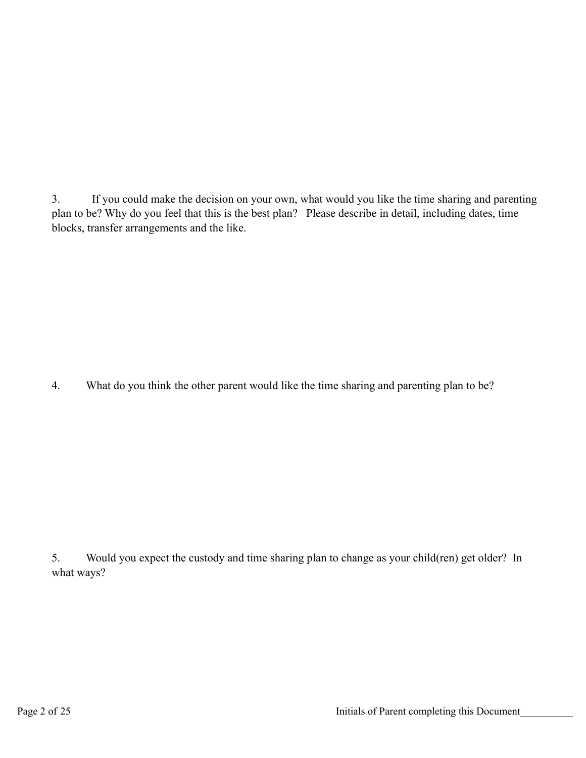3. If you could make the decision on your own, what would you like the time sharing and parenting plan to be? Why do you feel that this is the best plan? Please describe in detail, including dates, time blocks, transfer arrangements and the like.

4. What do you think the other parent would like the time sharing and parenting plan to be?

5. Would you expect the custody and time sharing plan to change as your child(ren) get older? In what ways?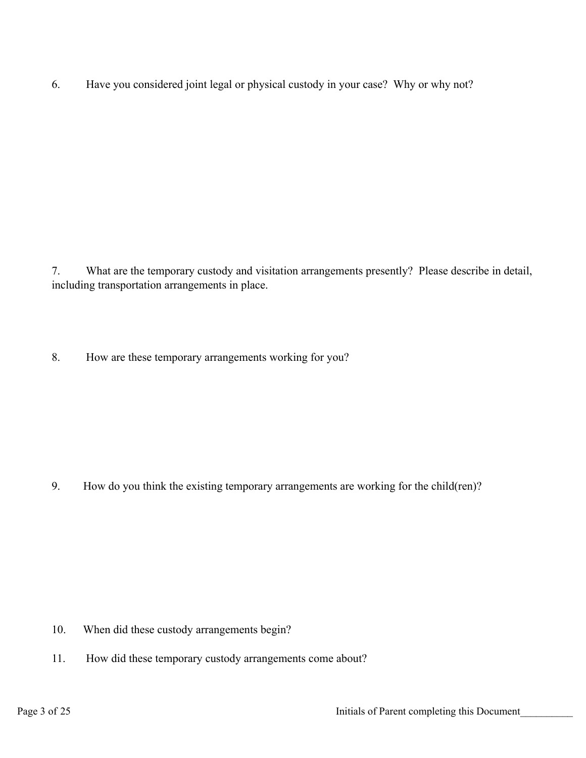6. Have you considered joint legal or physical custody in your case? Why or why not?

7. What are the temporary custody and visitation arrangements presently? Please describe in detail, including transportation arrangements in place.

8. How are these temporary arrangements working for you?

9. How do you think the existing temporary arrangements are working for the child(ren)?

- 10. When did these custody arrangements begin?
- 11. How did these temporary custody arrangements come about?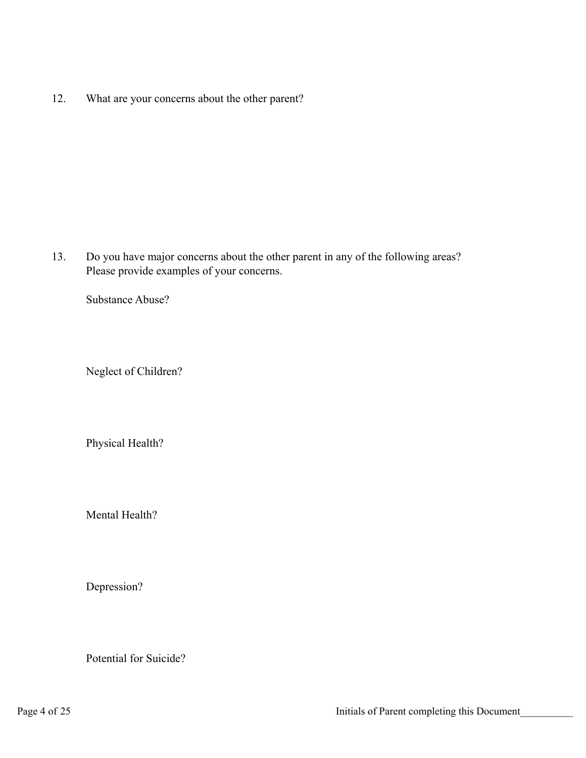12. What are your concerns about the other parent?

13. Do you have major concerns about the other parent in any of the following areas? Please provide examples of your concerns.

Substance Abuse?

Neglect of Children?

Physical Health?

Mental Health?

Depression?

Potential for Suicide?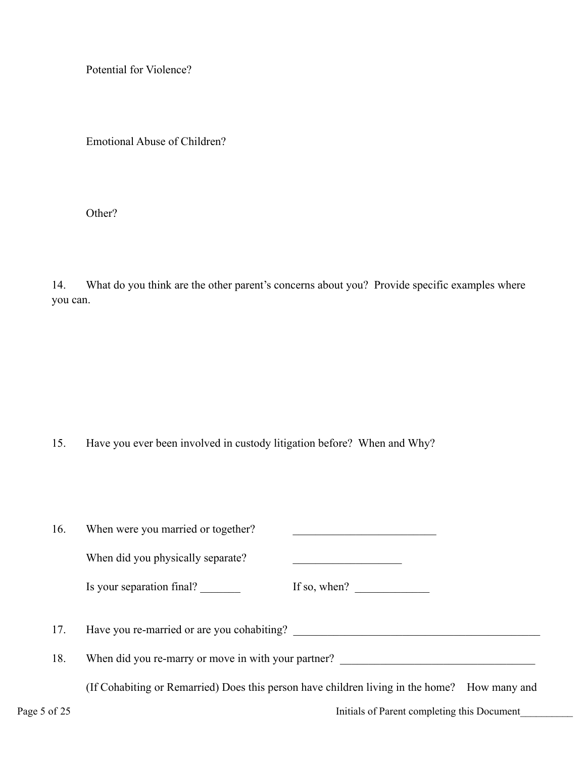Potential for Violence?

Emotional Abuse of Children?

Other?

14. What do you think are the other parent's concerns about you? Provide specific examples where you can.

15. Have you ever been involved in custody litigation before? When and Why?

| 16.          | When were you married or together?                                                           |  |  |  |  |
|--------------|----------------------------------------------------------------------------------------------|--|--|--|--|
|              | When did you physically separate?                                                            |  |  |  |  |
|              | Is your separation final?<br>If so, when? $\qquad \qquad$                                    |  |  |  |  |
| 17.          |                                                                                              |  |  |  |  |
| 18.          | When did you re-marry or move in with your partner?                                          |  |  |  |  |
|              | (If Cohabiting or Remarried) Does this person have children living in the home? How many and |  |  |  |  |
| Page 5 of 25 | Initials of Parent completing this Document                                                  |  |  |  |  |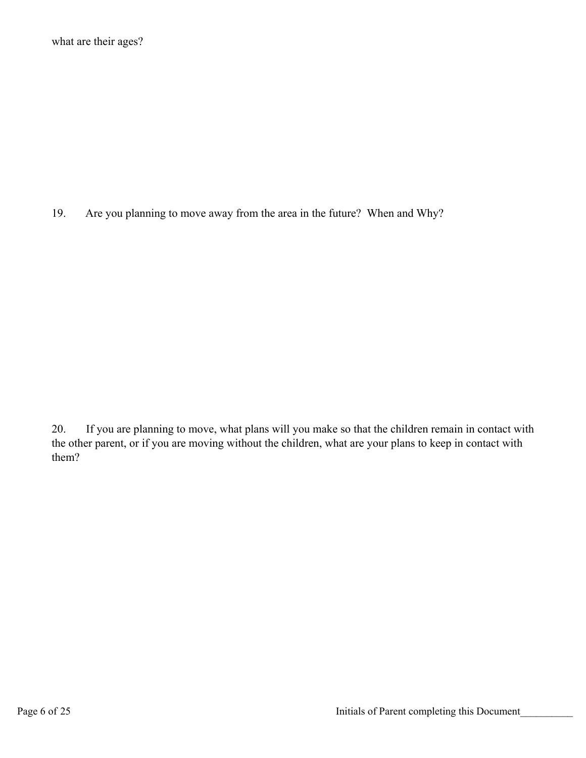19. Are you planning to move away from the area in the future? When and Why?

20. If you are planning to move, what plans will you make so that the children remain in contact with the other parent, or if you are moving without the children, what are your plans to keep in contact with them?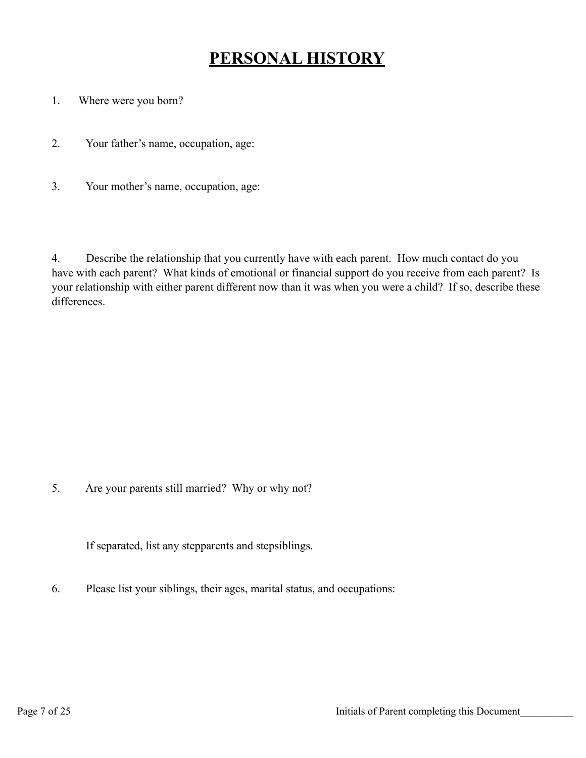## **PERSONAL HISTORY**

- 1. Where were you born?
- 2. Your father's name, occupation, age:
- 3. Your mother's name, occupation, age:

4. Describe the relationship that you currently have with each parent. How much contact do you have with each parent? What kinds of emotional or financial support do you receive from each parent? Is your relationship with either parent different now than it was when you were a child? If so, describe these differences.

5. Are your parents still married? Why or why not?

If separated, list any stepparents and stepsiblings.

6. Please list your siblings, their ages, marital status, and occupations: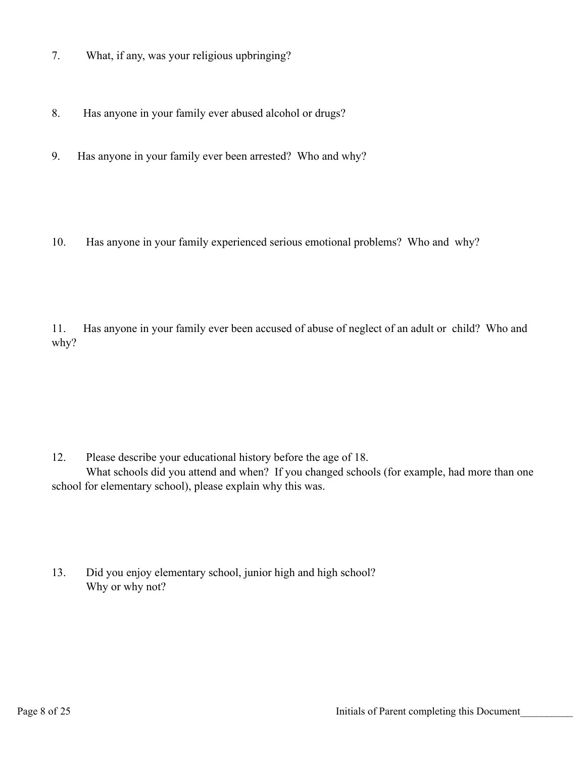- 7. What, if any, was your religious upbringing?
- 8. Has anyone in your family ever abused alcohol or drugs?
- 9. Has anyone in your family ever been arrested? Who and why?
- 10. Has anyone in your family experienced serious emotional problems? Who and why?

11. Has anyone in your family ever been accused of abuse of neglect of an adult or child? Who and why?

12. Please describe your educational history before the age of 18.

 What schools did you attend and when? If you changed schools (for example, had more than one school for elementary school), please explain why this was.

13. Did you enjoy elementary school, junior high and high school? Why or why not?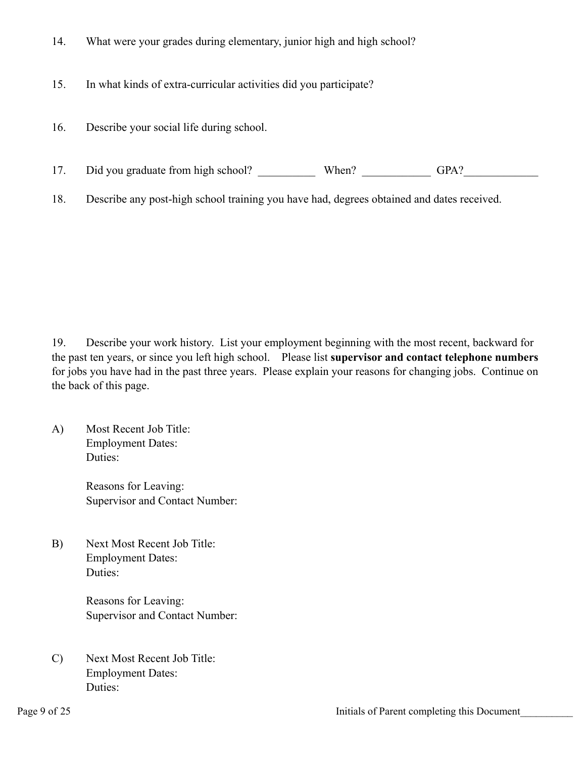- 14. What were your grades during elementary, junior high and high school?
- 15. In what kinds of extra-curricular activities did you participate?
- 16. Describe your social life during school.
- 17. Did you graduate from high school? When? When? GPA?

18. Describe any post-high school training you have had, degrees obtained and dates received.

19. Describe your work history. List your employment beginning with the most recent, backward for the past ten years, or since you left high school. Please list **supervisor and contact telephone numbers**  for jobs you have had in the past three years. Please explain your reasons for changing jobs. Continue on the back of this page.

A) Most Recent Job Title: Employment Dates: Duties:

> Reasons for Leaving: Supervisor and Contact Number:

B) Next Most Recent Job Title: Employment Dates: Duties:

> Reasons for Leaving: Supervisor and Contact Number:

C) Next Most Recent Job Title: Employment Dates: Duties: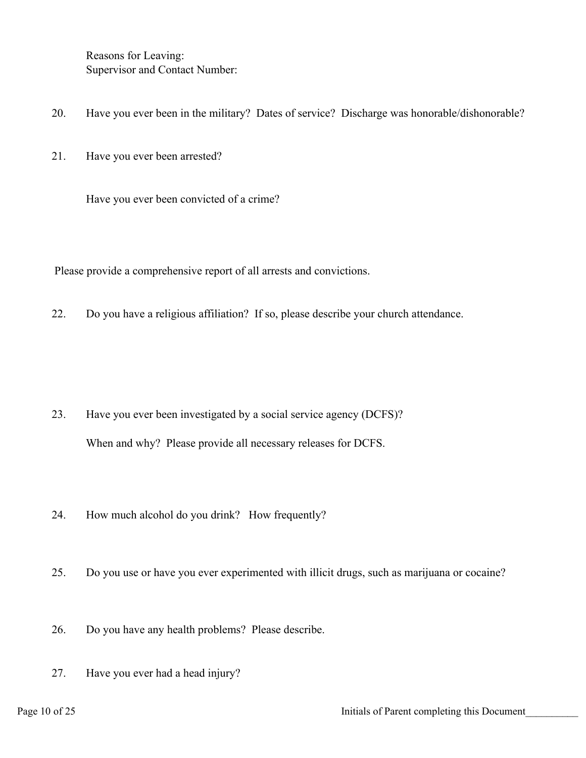Reasons for Leaving: Supervisor and Contact Number:

- 20. Have you ever been in the military? Dates of service? Discharge was honorable/dishonorable?
- 21. Have you ever been arrested?

Have you ever been convicted of a crime?

Please provide a comprehensive report of all arrests and convictions.

22. Do you have a religious affiliation? If so, please describe your church attendance.

- 23. Have you ever been investigated by a social service agency (DCFS)? When and why? Please provide all necessary releases for DCFS.
- 24. How much alcohol do you drink? How frequently?
- 25. Do you use or have you ever experimented with illicit drugs, such as marijuana or cocaine?
- 26. Do you have any health problems? Please describe.
- 27. Have you ever had a head injury?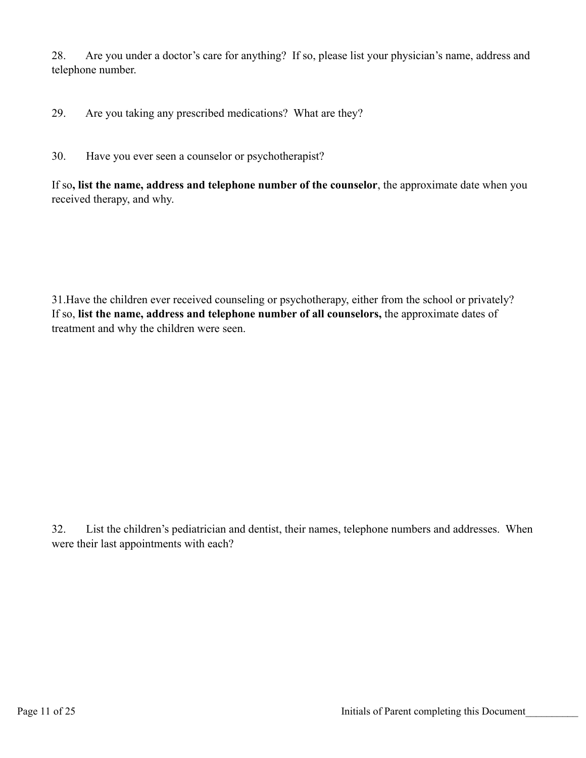28. Are you under a doctor's care for anything? If so, please list your physician's name, address and telephone number.

29. Are you taking any prescribed medications? What are they?

30. Have you ever seen a counselor or psychotherapist?

If so**, list the name, address and telephone number of the counselor**, the approximate date when you received therapy, and why.

31.Have the children ever received counseling or psychotherapy, either from the school or privately? If so, **list the name, address and telephone number of all counselors,** the approximate dates of treatment and why the children were seen.

32. List the children's pediatrician and dentist, their names, telephone numbers and addresses. When were their last appointments with each?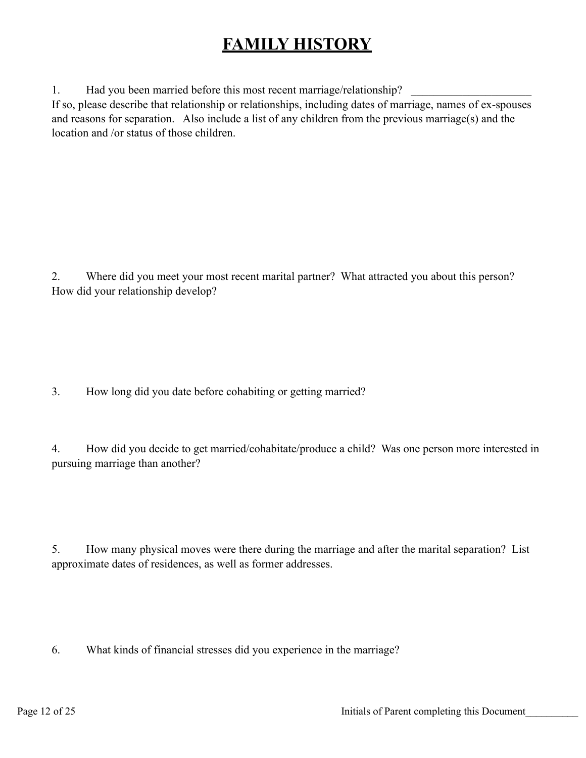## **FAMILY HISTORY**

1. Had you been married before this most recent marriage/relationship?

If so, please describe that relationship or relationships, including dates of marriage, names of ex-spouses and reasons for separation. Also include a list of any children from the previous marriage(s) and the location and /or status of those children.

2. Where did you meet your most recent marital partner? What attracted you about this person? How did your relationship develop?

3. How long did you date before cohabiting or getting married?

4. How did you decide to get married/cohabitate/produce a child? Was one person more interested in pursuing marriage than another?

5. How many physical moves were there during the marriage and after the marital separation? List approximate dates of residences, as well as former addresses.

6. What kinds of financial stresses did you experience in the marriage?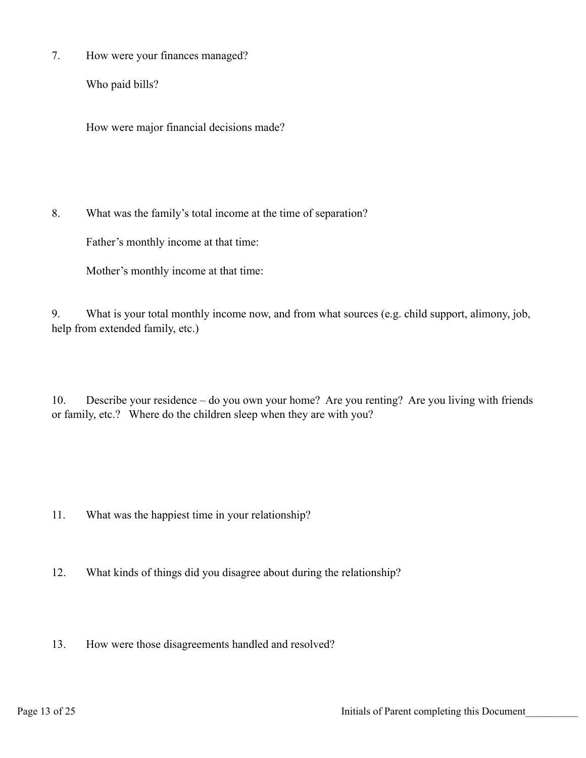7. How were your finances managed?

Who paid bills?

How were major financial decisions made?

8. What was the family's total income at the time of separation?

Father's monthly income at that time:

Mother's monthly income at that time:

9. What is your total monthly income now, and from what sources (e.g. child support, alimony, job, help from extended family, etc.)

10. Describe your residence – do you own your home? Are you renting? Are you living with friends or family, etc.? Where do the children sleep when they are with you?

- 11. What was the happiest time in your relationship?
- 12. What kinds of things did you disagree about during the relationship?
- 13. How were those disagreements handled and resolved?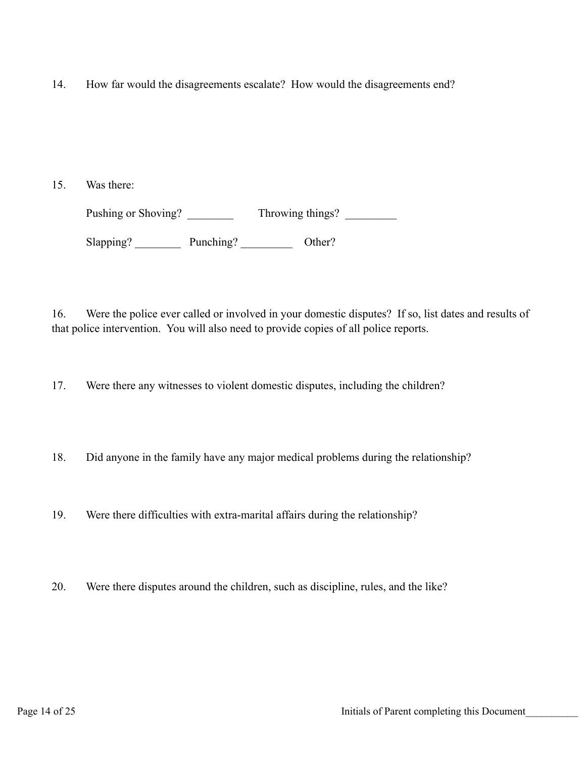14. How far would the disagreements escalate? How would the disagreements end?

15. Was there:

Pushing or Shoving? \_\_\_\_\_\_\_\_\_\_\_ Throwing things? \_\_\_\_\_\_\_\_\_\_ Slapping? Punching? Other?

16. Were the police ever called or involved in your domestic disputes? If so, list dates and results of that police intervention. You will also need to provide copies of all police reports.

17. Were there any witnesses to violent domestic disputes, including the children?

18. Did anyone in the family have any major medical problems during the relationship?

19. Were there difficulties with extra-marital affairs during the relationship?

20. Were there disputes around the children, such as discipline, rules, and the like?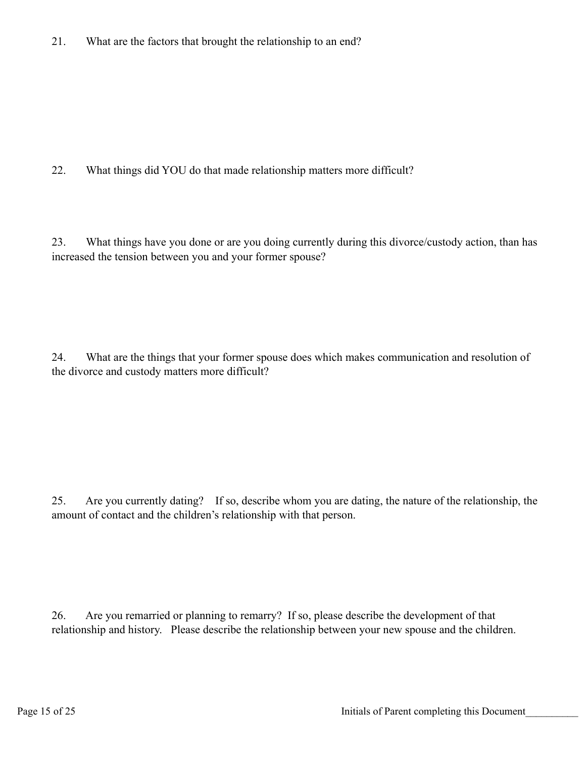21. What are the factors that brought the relationship to an end?

22. What things did YOU do that made relationship matters more difficult?

23. What things have you done or are you doing currently during this divorce/custody action, than has increased the tension between you and your former spouse?

24. What are the things that your former spouse does which makes communication and resolution of the divorce and custody matters more difficult?

25. Are you currently dating? If so, describe whom you are dating, the nature of the relationship, the amount of contact and the children's relationship with that person.

26. Are you remarried or planning to remarry? If so, please describe the development of that relationship and history. Please describe the relationship between your new spouse and the children.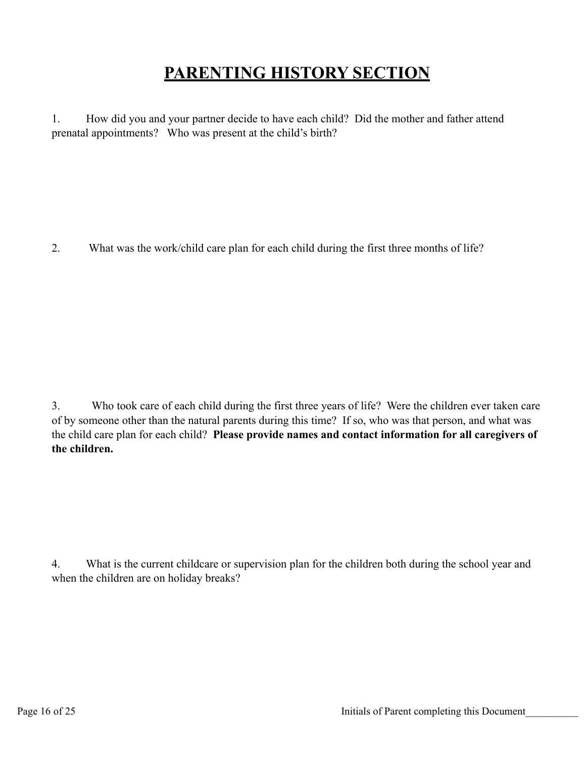## **PARENTING HISTORY SECTION**

1. How did you and your partner decide to have each child? Did the mother and father attend prenatal appointments? Who was present at the child's birth?

2. What was the work/child care plan for each child during the first three months of life?

3. Who took care of each child during the first three years of life? Were the children ever taken care of by someone other than the natural parents during this time? If so, who was that person, and what was the child care plan for each child? **Please provide names and contact information for all caregivers of the children.**

4. What is the current childcare or supervision plan for the children both during the school year and when the children are on holiday breaks?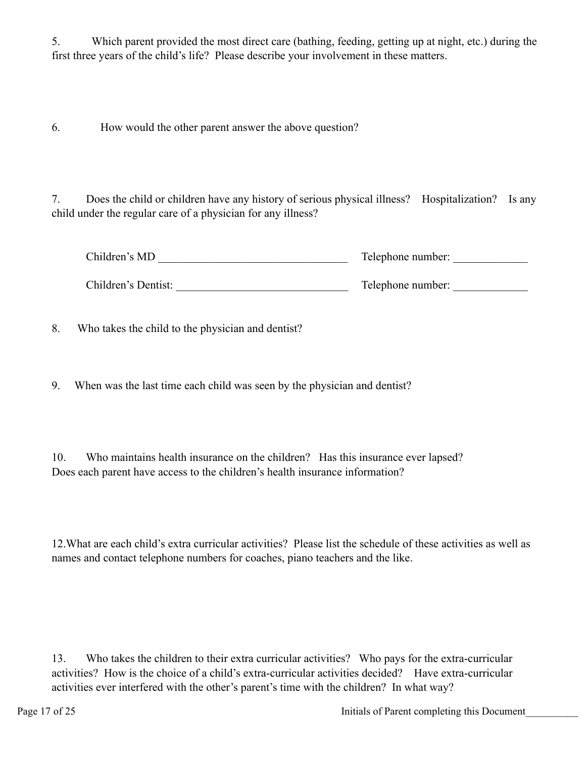5. Which parent provided the most direct care (bathing, feeding, getting up at night, etc.) during the first three years of the child's life? Please describe your involvement in these matters.

6. How would the other parent answer the above question?

7. Does the child or children have any history of serious physical illness? Hospitalization? Is any child under the regular care of a physician for any illness?

| Children's MD       | Telephone number: |  |
|---------------------|-------------------|--|
| Children's Dentist: | Telephone number: |  |

8. Who takes the child to the physician and dentist?

9. When was the last time each child was seen by the physician and dentist?

10. Who maintains health insurance on the children? Has this insurance ever lapsed? Does each parent have access to the children's health insurance information?

12.What are each child's extra curricular activities? Please list the schedule of these activities as well as names and contact telephone numbers for coaches, piano teachers and the like.

13. Who takes the children to their extra curricular activities? Who pays for the extra-curricular activities? How is the choice of a child's extra-curricular activities decided? Have extra-curricular activities ever interfered with the other's parent's time with the children? In what way?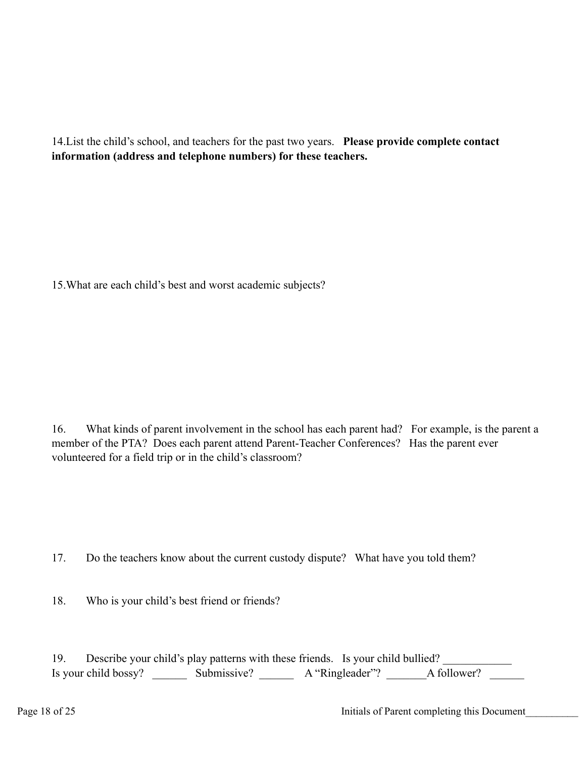14.List the child's school, and teachers for the past two years. **Please provide complete contact information (address and telephone numbers) for these teachers.**

15.What are each child's best and worst academic subjects?

16. What kinds of parent involvement in the school has each parent had? For example, is the parent a member of the PTA? Does each parent attend Parent-Teacher Conferences? Has the parent ever volunteered for a field trip or in the child's classroom?

17. Do the teachers know about the current custody dispute? What have you told them?

18. Who is your child's best friend or friends?

| 19. |                      | Describe your child's play patterns with these friends. Is your child bullied? |                 |             |  |
|-----|----------------------|--------------------------------------------------------------------------------|-----------------|-------------|--|
|     | Is your child bossy? | Submissive?                                                                    | A "Ringleader"? | A follower? |  |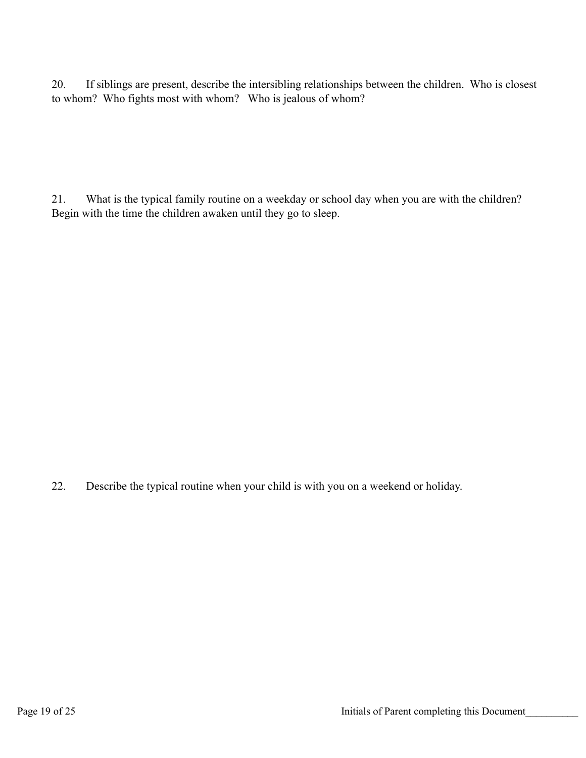20. If siblings are present, describe the intersibling relationships between the children. Who is closest to whom? Who fights most with whom? Who is jealous of whom?

21. What is the typical family routine on a weekday or school day when you are with the children? Begin with the time the children awaken until they go to sleep.

22. Describe the typical routine when your child is with you on a weekend or holiday.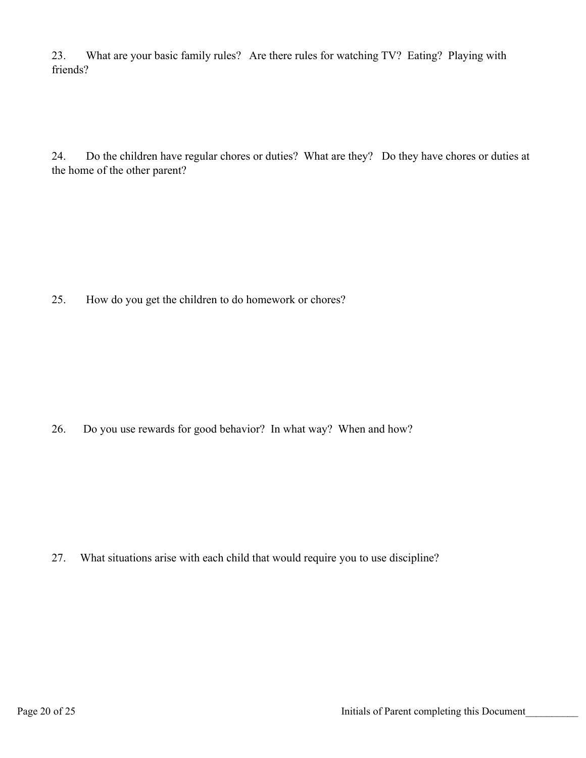23. What are your basic family rules? Are there rules for watching TV? Eating? Playing with friends?

24. Do the children have regular chores or duties? What are they? Do they have chores or duties at the home of the other parent?

25. How do you get the children to do homework or chores?

26. Do you use rewards for good behavior? In what way? When and how?

27. What situations arise with each child that would require you to use discipline?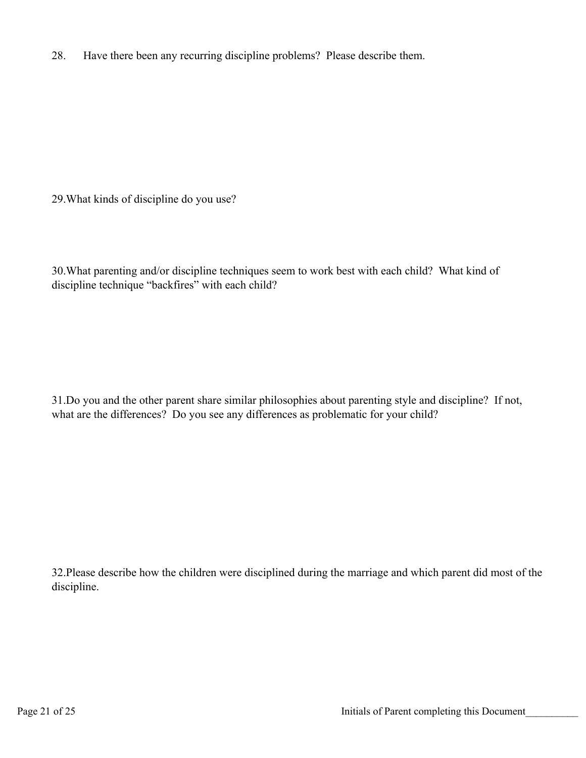28. Have there been any recurring discipline problems? Please describe them.

29.What kinds of discipline do you use?

30.What parenting and/or discipline techniques seem to work best with each child? What kind of discipline technique "backfires" with each child?

31.Do you and the other parent share similar philosophies about parenting style and discipline? If not, what are the differences? Do you see any differences as problematic for your child?

32.Please describe how the children were disciplined during the marriage and which parent did most of the discipline.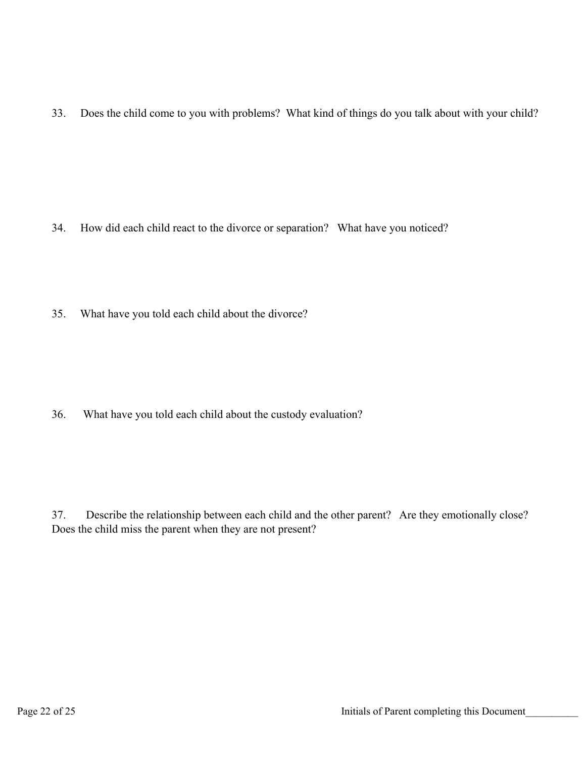33. Does the child come to you with problems? What kind of things do you talk about with your child?

- 34. How did each child react to the divorce or separation? What have you noticed?
- 35. What have you told each child about the divorce?

36. What have you told each child about the custody evaluation?

37. Describe the relationship between each child and the other parent? Are they emotionally close? Does the child miss the parent when they are not present?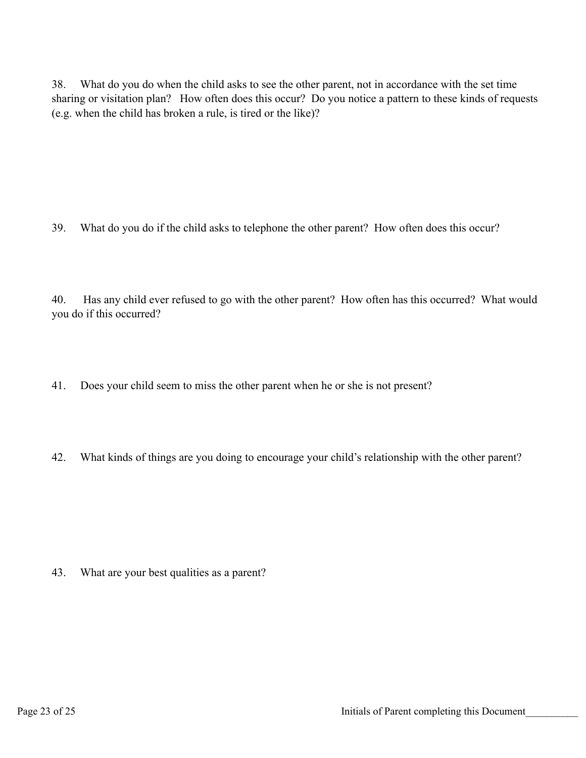38. What do you do when the child asks to see the other parent, not in accordance with the set time sharing or visitation plan? How often does this occur? Do you notice a pattern to these kinds of requests (e.g. when the child has broken a rule, is tired or the like)?

39. What do you do if the child asks to telephone the other parent? How often does this occur?

40. Has any child ever refused to go with the other parent? How often has this occurred? What would you do if this occurred?

- 41. Does your child seem to miss the other parent when he or she is not present?
- 42. What kinds of things are you doing to encourage your child's relationship with the other parent?

43. What are your best qualities as a parent?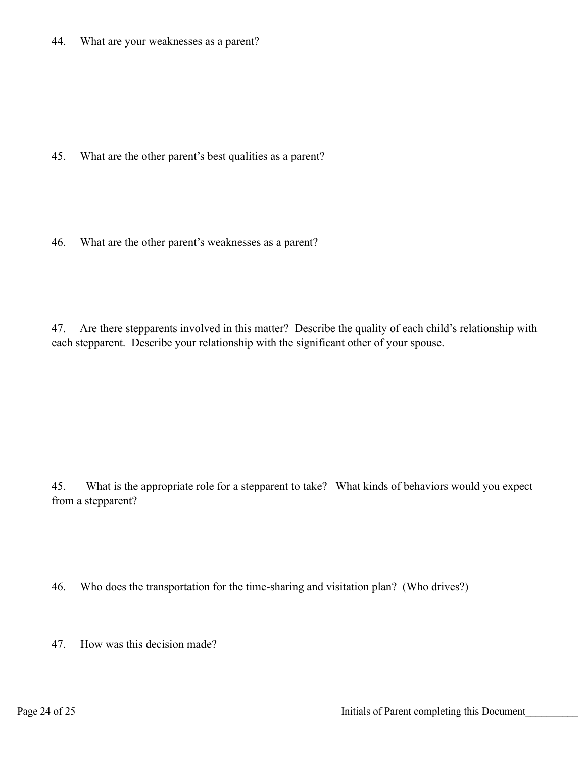44. What are your weaknesses as a parent?

45. What are the other parent's best qualities as a parent?

46. What are the other parent's weaknesses as a parent?

47. Are there stepparents involved in this matter? Describe the quality of each child's relationship with each stepparent. Describe your relationship with the significant other of your spouse.

45. What is the appropriate role for a stepparent to take? What kinds of behaviors would you expect from a stepparent?

46. Who does the transportation for the time-sharing and visitation plan? (Who drives?)

47. How was this decision made?